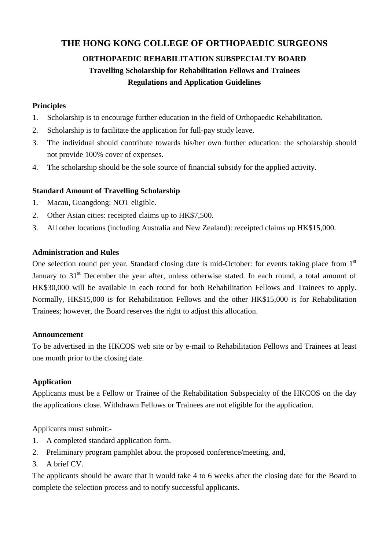## **THE HONG KONG COLLEGE OF ORTHOPAEDIC SURGEONS**

# **ORTHOPAEDIC REHABILITATION SUBSPECIALTY BOARD Travelling Scholarship for Rehabilitation Fellows and Trainees Regulations and Application Guidelines**

#### **Principles**

- 1. Scholarship is to encourage further education in the field of Orthopaedic Rehabilitation.
- 2. Scholarship is to facilitate the application for full-pay study leave.
- 3. The individual should contribute towards his/her own further education: the scholarship should not provide 100% cover of expenses.
- 4. The scholarship should be the sole source of financial subsidy for the applied activity.

#### **Standard Amount of Travelling Scholarship**

- 1. Macau, Guangdong: NOT eligible.
- 2. Other Asian cities: receipted claims up to HK\$7,500.
- 3. All other locations (including Australia and New Zealand): receipted claims up HK\$15,000.

#### **Administration and Rules**

One selection round per year. Standard closing date is mid-October: for events taking place from 1<sup>st</sup> January to  $31<sup>st</sup>$  December the year after, unless otherwise stated. In each round, a total amount of HK\$30,000 will be available in each round for both Rehabilitation Fellows and Trainees to apply. Normally, HK\$15,000 is for Rehabilitation Fellows and the other HK\$15,000 is for Rehabilitation Trainees; however, the Board reserves the right to adjust this allocation.

#### **Announcement**

To be advertised in the HKCOS web site or by e-mail to Rehabilitation Fellows and Trainees at least one month prior to the closing date.

#### **Application**

Applicants must be a Fellow or Trainee of the Rehabilitation Subspecialty of the HKCOS on the day the applications close. Withdrawn Fellows or Trainees are not eligible for the application.

Applicants must submit:-

- 1. A completed standard application form.
- 2. Preliminary program pamphlet about the proposed conference/meeting, and,
- 3. A brief CV.

The applicants should be aware that it would take 4 to 6 weeks after the closing date for the Board to complete the selection process and to notify successful applicants.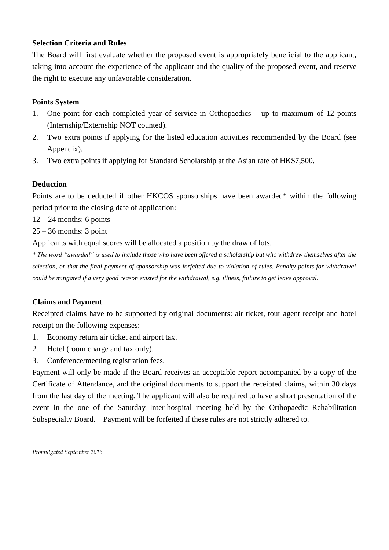#### **Selection Criteria and Rules**

The Board will first evaluate whether the proposed event is appropriately beneficial to the applicant, taking into account the experience of the applicant and the quality of the proposed event, and reserve the right to execute any unfavorable consideration.

#### **Points System**

- 1. One point for each completed year of service in Orthopaedics up to maximum of 12 points (Internship/Externship NOT counted).
- 2. Two extra points if applying for the listed education activities recommended by the Board (see Appendix).
- 3. Two extra points if applying for Standard Scholarship at the Asian rate of HK\$7,500.

#### **Deduction**

Points are to be deducted if other HKCOS sponsorships have been awarded\* within the following period prior to the closing date of application:

 $12 - 24$  months: 6 points

 $25 - 36$  months: 3 point

Applicants with equal scores will be allocated a position by the draw of lots.

*\* The word "awarded" is used to include those who have been offered a scholarship but who withdrew themselves after the selection, or that the final payment of sponsorship was forfeited due to violation of rules. Penalty points for withdrawal could be mitigated if a very good reason existed for the withdrawal, e.g. illness, failure to get leave approval.* 

#### **Claims and Payment**

Receipted claims have to be supported by original documents: air ticket, tour agent receipt and hotel receipt on the following expenses:

- 1. Economy return air ticket and airport tax.
- 2. Hotel (room charge and tax only).
- 3. Conference/meeting registration fees.

Payment will only be made if the Board receives an acceptable report accompanied by a copy of the Certificate of Attendance, and the original documents to support the receipted claims, within 30 days from the last day of the meeting. The applicant will also be required to have a short presentation of the event in the one of the Saturday Inter-hospital meeting held by the Orthopaedic Rehabilitation Subspecialty Board. Payment will be forfeited if these rules are not strictly adhered to.

*Promulgated September 2016*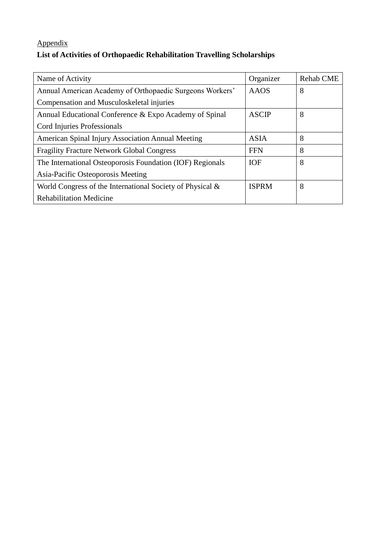# Appendix **List of Activities of Orthopaedic Rehabilitation Travelling Scholarships**

| Name of Activity                                          | Organizer    | <b>Rehab CME</b> |
|-----------------------------------------------------------|--------------|------------------|
| Annual American Academy of Orthopaedic Surgeons Workers'  | <b>AAOS</b>  | 8                |
| Compensation and Musculoskeletal injuries                 |              |                  |
| Annual Educational Conference & Expo Academy of Spinal    | <b>ASCIP</b> | 8                |
| Cord Injuries Professionals                               |              |                  |
| American Spinal Injury Association Annual Meeting         | <b>ASIA</b>  | 8                |
| <b>Fragility Fracture Network Global Congress</b>         | <b>FFN</b>   | 8                |
| The International Osteoporosis Foundation (IOF) Regionals | <b>IOF</b>   | 8                |
| Asia-Pacific Osteoporosis Meeting                         |              |                  |
| World Congress of the International Society of Physical & | <b>ISPRM</b> | 8                |
| <b>Rehabilitation Medicine</b>                            |              |                  |